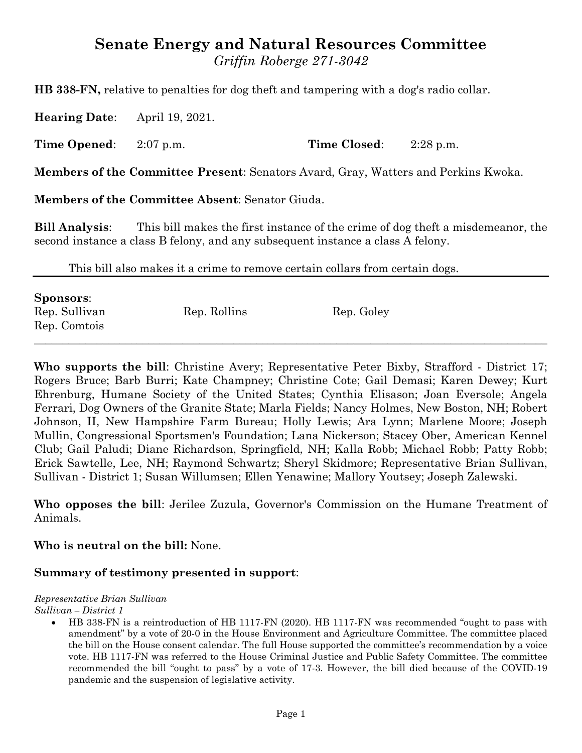# **Senate Energy and Natural Resources Committee** *Griffin Roberge 271-3042*

**HB 338-FN,** relative to penalties for dog theft and tampering with a dog's radio collar.

**Hearing Date**: April 19, 2021.

**Time Opened**: 2:07 p.m. **Time Closed**: 2:28 p.m.

**Members of the Committee Present**: Senators Avard, Gray, Watters and Perkins Kwoka.

**Members of the Committee Absent**: Senator Giuda.

**Bill Analysis**: This bill makes the first instance of the crime of dog theft a misdemeanor, the second instance a class B felony, and any subsequent instance a class A felony.

This bill also makes it a crime to remove certain collars from certain dogs.

| <b>Sponsors:</b>              |              |            |
|-------------------------------|--------------|------------|
| Rep. Sullivan<br>Rep. Comtois | Rep. Rollins | Rep. Goley |

**Who supports the bill**: Christine Avery; Representative Peter Bixby, Strafford - District 17; Rogers Bruce; Barb Burri; Kate Champney; Christine Cote; Gail Demasi; Karen Dewey; Kurt Ehrenburg, Humane Society of the United States; Cynthia Elisason; Joan Eversole; Angela Ferrari, Dog Owners of the Granite State; Marla Fields; Nancy Holmes, New Boston, NH; Robert Johnson, II, New Hampshire Farm Bureau; Holly Lewis; Ara Lynn; Marlene Moore; Joseph Mullin, Congressional Sportsmen's Foundation; Lana Nickerson; Stacey Ober, American Kennel Club; Gail Paludi; Diane Richardson, Springfield, NH; Kalla Robb; Michael Robb; Patty Robb; Erick Sawtelle, Lee, NH; Raymond Schwartz; Sheryl Skidmore; Representative Brian Sullivan, Sullivan - District 1; Susan Willumsen; Ellen Yenawine; Mallory Youtsey; Joseph Zalewski.

**Who opposes the bill**: Jerilee Zuzula, Governor's Commission on the Humane Treatment of Animals.

**Who is neutral on the bill:** None.

## **Summary of testimony presented in support**:

#### *Representative Brian Sullivan*

*Sullivan – District 1*

 HB 338-FN is a reintroduction of HB 1117-FN (2020). HB 1117-FN was recommended "ought to pass with amendment" by a vote of 20-0 in the House Environment and Agriculture Committee. The committee placed the bill on the House consent calendar. The full House supported the committee's recommendation by a voice vote. HB 1117-FN was referred to the House Criminal Justice and Public Safety Committee. The committee recommended the bill "ought to pass" by a vote of 17-3. However, the bill died because of the COVID-19 pandemic and the suspension of legislative activity.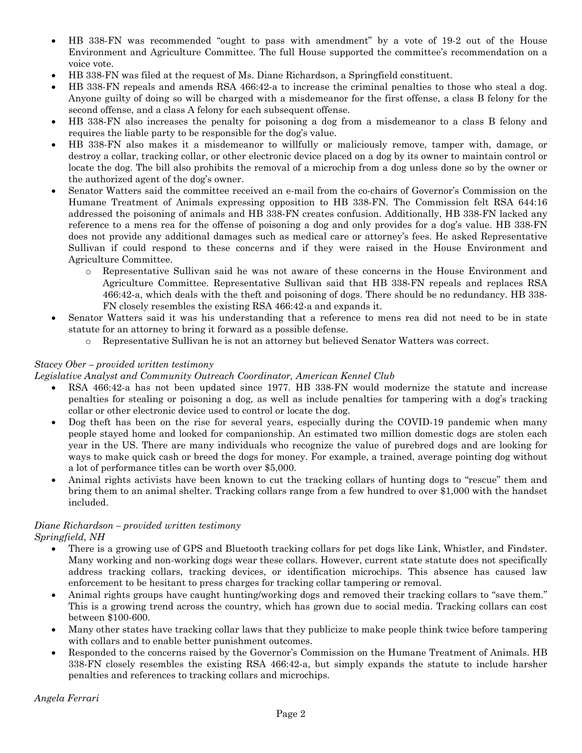- HB 338-FN was recommended "ought to pass with amendment" by a vote of 19-2 out of the House Environment and Agriculture Committee. The full House supported the committee's recommendation on a voice vote.
- HB 338-FN was filed at the request of Ms. Diane Richardson, a Springfield constituent.
- HB 338-FN repeals and amends RSA 466:42-a to increase the criminal penalties to those who steal a dog. Anyone guilty of doing so will be charged with a misdemeanor for the first offense, a class B felony for the second offense, and a class A felony for each subsequent offense.
- HB 338-FN also increases the penalty for poisoning a dog from a misdemeanor to a class B felony and requires the liable party to be responsible for the dog's value.
- HB 338-FN also makes it a misdemeanor to willfully or maliciously remove, tamper with, damage, or destroy a collar, tracking collar, or other electronic device placed on a dog by its owner to maintain control or locate the dog. The bill also prohibits the removal of a microchip from a dog unless done so by the owner or the authorized agent of the dog's owner.
- Senator Watters said the committee received an e-mail from the co-chairs of Governor's Commission on the Humane Treatment of Animals expressing opposition to HB 338-FN. The Commission felt RSA 644:16 addressed the poisoning of animals and HB 338-FN creates confusion. Additionally, HB 338-FN lacked any reference to a mens rea for the offense of poisoning a dog and only provides for a dog's value. HB 338-FN does not provide any additional damages such as medical care or attorney's fees. He asked Representative Sullivan if could respond to these concerns and if they were raised in the House Environment and Agriculture Committee.
	- o Representative Sullivan said he was not aware of these concerns in the House Environment and Agriculture Committee. Representative Sullivan said that HB 338-FN repeals and replaces RSA 466:42-a, which deals with the theft and poisoning of dogs. There should be no redundancy. HB 338- FN closely resembles the existing RSA 466:42-a and expands it.
- Senator Watters said it was his understanding that a reference to mens rea did not need to be in state statute for an attorney to bring it forward as a possible defense.
	- o Representative Sullivan he is not an attorney but believed Senator Watters was correct.

#### *Stacey Ober – provided written testimony*

*Legislative Analyst and Community Outreach Coordinator, American Kennel Club*

- RSA 466:42-a has not been updated since 1977. HB 338-FN would modernize the statute and increase penalties for stealing or poisoning a dog, as well as include penalties for tampering with a dog's tracking collar or other electronic device used to control or locate the dog.
- Dog theft has been on the rise for several years, especially during the COVID-19 pandemic when many people stayed home and looked for companionship. An estimated two million domestic dogs are stolen each year in the US. There are many individuals who recognize the value of purebred dogs and are looking for ways to make quick cash or breed the dogs for money. For example, a trained, average pointing dog without a lot of performance titles can be worth over \$5,000.
- Animal rights activists have been known to cut the tracking collars of hunting dogs to "rescue" them and bring them to an animal shelter. Tracking collars range from a few hundred to over \$1,000 with the handset included.

# *Diane Richardson – provided written testimony*

*Springfield, NH*

- There is a growing use of GPS and Bluetooth tracking collars for pet dogs like Link, Whistler, and Findster. Many working and non-working dogs wear these collars. However, current state statute does not specifically address tracking collars, tracking devices, or identification microchips. This absence has caused law enforcement to be hesitant to press charges for tracking collar tampering or removal.
- Animal rights groups have caught hunting/working dogs and removed their tracking collars to "save them." This is a growing trend across the country, which has grown due to social media. Tracking collars can cost between \$100-600.
- Many other states have tracking collar laws that they publicize to make people think twice before tampering with collars and to enable better punishment outcomes.
- Responded to the concerns raised by the Governor's Commission on the Humane Treatment of Animals. HB 338-FN closely resembles the existing RSA 466:42-a, but simply expands the statute to include harsher penalties and references to tracking collars and microchips.